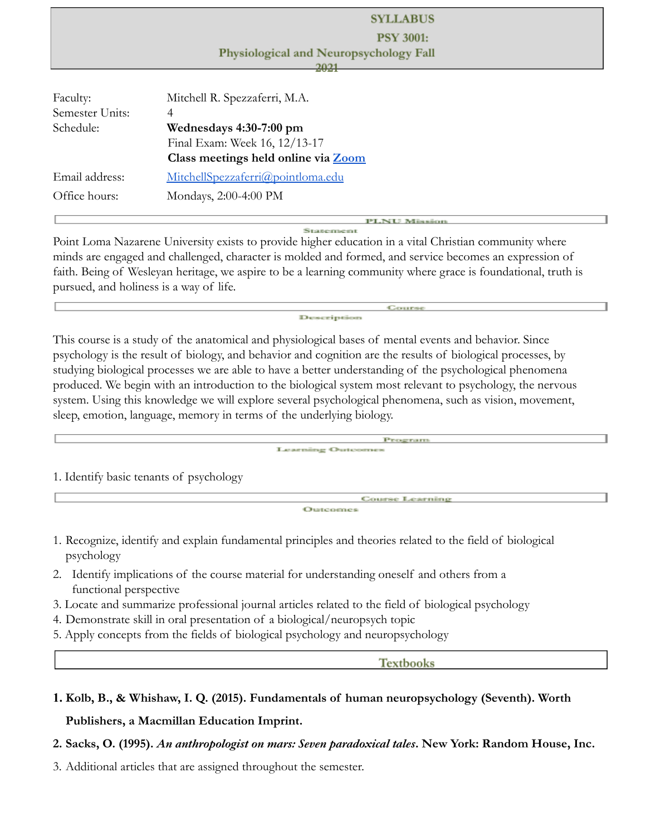|                      | <b>SYLLABUS</b>                        |  |  |
|----------------------|----------------------------------------|--|--|
| <b>PSY 3001:</b>     |                                        |  |  |
|                      | Physiological and Neuropsychology Fall |  |  |
|                      | 2021                                   |  |  |
| Faculty:             | Mitchell R. Spezzaferri, M.A.          |  |  |
| Semester Units:<br>4 |                                        |  |  |
| Schedule:            | Wednesdays 4:30-7:00 pm                |  |  |
|                      | Final Exam: Week 16, 12/13-17          |  |  |
|                      | Class meetings held online via Zoom    |  |  |
| Email address:       | MitchellSpezzaferri@pointloma.edu      |  |  |
| Office hours:        | Mondays, 2:00-4:00 PM                  |  |  |
|                      | <b>PLNU Mission</b>                    |  |  |

Point Loma Nazarene University exists to provide higher education in a vital Christian community where minds are engaged and challenged, character is molded and formed, and service becomes an expression of faith. Being of Wesleyan heritage, we aspire to be a learning community where grace is foundational, truth is pursued, and holiness is a way of life.

Description

This course is a study of the anatomical and physiological bases of mental events and behavior. Since psychology is the result of biology, and behavior and cognition are the results of biological processes, by studying biological processes we are able to have a better understanding of the psychological phenomena produced. We begin with an introduction to the biological system most relevant to psychology, the nervous system. Using this knowledge we will explore several psychological phenomena, such as vision, movement, sleep, emotion, language, memory in terms of the underlying biology.

> Program **Loanning Outcome**

1. Identify basic tenants of psychology

Course Learning Outcomes

Course

1. Recognize, identify and explain fundamental principles and theories related to the field of biological psychology

- 2. Identify implications of the course material for understanding oneself and others from a functional perspective
- 3. Locate and summarize professional journal articles related to the field of biological psychology
- 4. Demonstrate skill in oral presentation of a biological/neuropsych topic
- 5. Apply concepts from the fields of biological psychology and neuropsychology

**Textbooks** 

# **1. Kolb, B., & Whishaw, I. Q. (2015). Fundamentals of human neuropsychology (Seventh). Worth**

**Publishers, a Macmillan Education Imprint.**

**2. Sacks, O. (1995).** *An anthropologist on mars: Seven paradoxical tales***. New York: Random House, Inc.**

3. Additional articles that are assigned throughout the semester.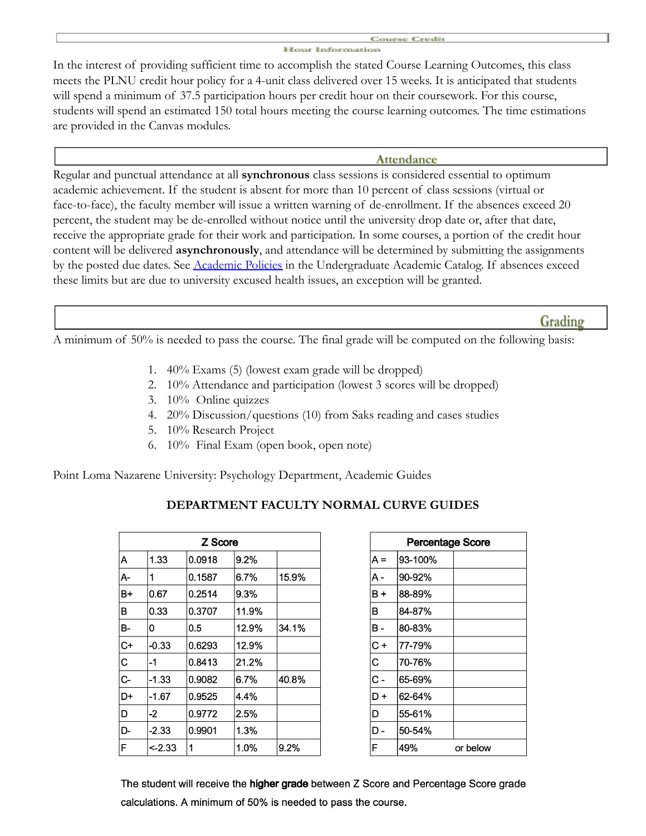#### konumse: Cimodiis Elizabet Traficarrosarioso

In the interest of providing sufficient time to accomplish the stated Course Learning Outcomes, this class meets the PLNU credit hour policy for a 4-unit class delivered over 15 weeks. It is anticipated that students will spend a minimum of 37.5 participation hours per credit hour on their coursework. For this course, students will spend an estimated 150 total hours meeting the course learning outcomes. The time estimations are provided in the Canvas modules.

#### Attendance

Regular and punctual attendance at all **synchronous** class sessions is considered essential to optimum academic achievement. If the student is absent for more than 10 percent of class sessions (virtual or face-to-face), the faculty member will issue a written warning of de-enrollment. If the absences exceed 20 percent, the student may be de-enrolled without notice until the university drop date or, after that date, receive the appropriate grade for their work and participation. In some courses, a portion of the credit hour content will be delivered **asynchronously**, and attendance will be determined by submitting the assignments by the posted due dates. See [Academic Policies](https://catalog.pointloma.edu/content.php?catoid=46&navoid=2650&Class_Attendance) in the Undergraduate Academic Catalog. If absences exceed these limits but are due to university excused health issues, an exception will be granted.

## Grading

A minimum of 50% is needed to pass the course. The final grade will be computed on the following basis:

- 1. 40% Exams (5) (lowest exam grade will be dropped)
- 2. 10% Attendance and participation (lowest 3 scores will be dropped)
- 3. 10% Online quizzes
- 4. 20% Discussion/questions (10) from Saks reading and cases studies
- 5. 10% Research Project
- 6. 10% Final Exam (open book, open note)

Point Loma Nazarene University: Psychology Department, Academic Guides

| DEPARTMENT FACULTY NORMAL CURVE GUIDES |  |  |
|----------------------------------------|--|--|
|                                        |  |  |

| Z Score |         |        |       |       |
|---------|---------|--------|-------|-------|
| А       | 1.33    | 0.0918 | 9.2%  |       |
| А-      | 1       | 0.1587 | 6.7%  | 15.9% |
| B+      | 0.67    | 0.2514 | 9.3%  |       |
| в       | 0.33    | 0.3707 | 11.9% |       |
| B-      | 0       | 0.5    | 12.9% | 34.1% |
| $C+$    | -0.33   | 0.6293 | 12.9% |       |
| C       | -1      | 0.8413 | 21.2% |       |
| $C -$   | $-1.33$ | 0.9082 | 6.7%  | 40.8% |
| D+      | -1.67   | 0.9525 | 4.4%  |       |
| D       | -2      | 0.9772 | 2.5%  |       |
| D-      | -2.33   | 0.9901 | 1.3%  |       |
| F       | <-2.33  | 1      | 1.0%  | 9.2%  |

| Percentage Score |         |          |  |
|------------------|---------|----------|--|
| A =              | 93-100% |          |  |
| A -              | 90-92%  |          |  |
| B+               | 88-89%  |          |  |
| в                | 84-87%  |          |  |
| в-               | 80-83%  |          |  |
| $C +$            | 77-79%  |          |  |
| C                | 70-76%  |          |  |
| $\overline{c}$ - | 65-69%  |          |  |
| D+               | 62-64%  |          |  |
| D                | 55-61%  |          |  |
| D                | 50-54%  |          |  |
| F                | 49%     | or below |  |

The student will receive the higher grade between Z Score and Percentage Score grade calculations. A minimum of 50% is needed to pass the course.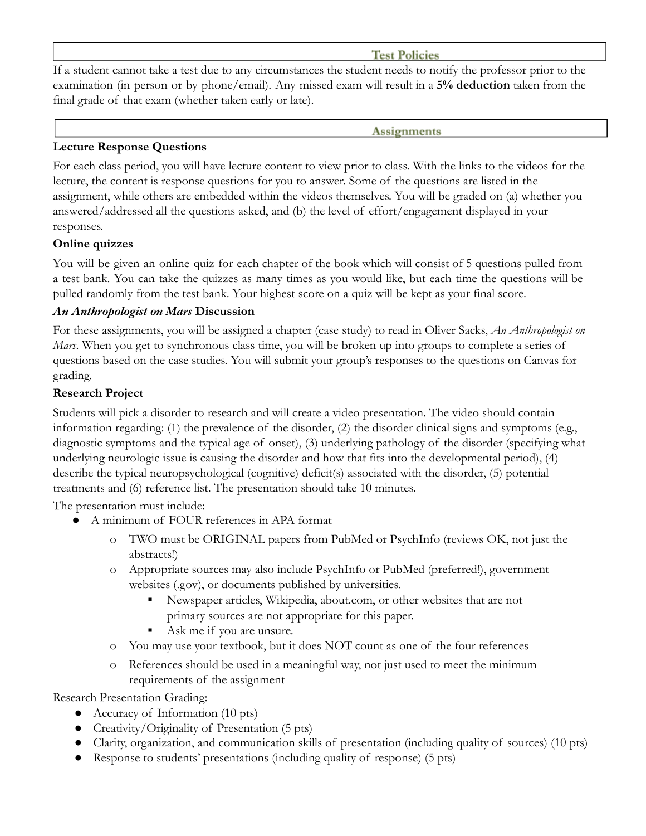## **Test Policies**

If a student cannot take a test due to any circumstances the student needs to notify the professor prior to the examination (in person or by phone/email). Any missed exam will result in a **5% deduction** taken from the final grade of that exam (whether taken early or late).

#### **Assignments**

## **Lecture Response Questions**

For each class period, you will have lecture content to view prior to class. With the links to the videos for the lecture, the content is response questions for you to answer. Some of the questions are listed in the assignment, while others are embedded within the videos themselves. You will be graded on (a) whether you answered/addressed all the questions asked, and (b) the level of effort/engagement displayed in your responses.

# **Online quizzes**

You will be given an online quiz for each chapter of the book which will consist of 5 questions pulled from a test bank. You can take the quizzes as many times as you would like, but each time the questions will be pulled randomly from the test bank. Your highest score on a quiz will be kept as your final score.

# *An Anthropologist on Mars* **Discussion**

For these assignments, you will be assigned a chapter (case study) to read in Oliver Sacks, *An Anthropologist on Mars*. When you get to synchronous class time, you will be broken up into groups to complete a series of questions based on the case studies. You will submit your group's responses to the questions on Canvas for grading.

# **Research Project**

Students will pick a disorder to research and will create a video presentation. The video should contain information regarding: (1) the prevalence of the disorder, (2) the disorder clinical signs and symptoms (e.g., diagnostic symptoms and the typical age of onset), (3) underlying pathology of the disorder (specifying what underlying neurologic issue is causing the disorder and how that fits into the developmental period), (4) describe the typical neuropsychological (cognitive) deficit(s) associated with the disorder, (5) potential treatments and (6) reference list. The presentation should take 10 minutes.

The presentation must include:

- A minimum of FOUR references in APA format
	- o TWO must be ORIGINAL papers from PubMed or PsychInfo (reviews OK, not just the abstracts!)
	- o Appropriate sources may also include PsychInfo or PubMed (preferred!), government websites (.gov), or documents published by universities.
		- Newspaper articles, Wikipedia, about.com, or other websites that are not primary sources are not appropriate for this paper.
		- Ask me if you are unsure.
	- o You may use your textbook, but it does NOT count as one of the four references
	- o References should be used in a meaningful way, not just used to meet the minimum requirements of the assignment

Research Presentation Grading:

- Accuracy of Information (10 pts)
- Creativity/Originality of Presentation (5 pts)
- Clarity, organization, and communication skills of presentation (including quality of sources) (10 pts)
- Response to students' presentations (including quality of response) (5 pts)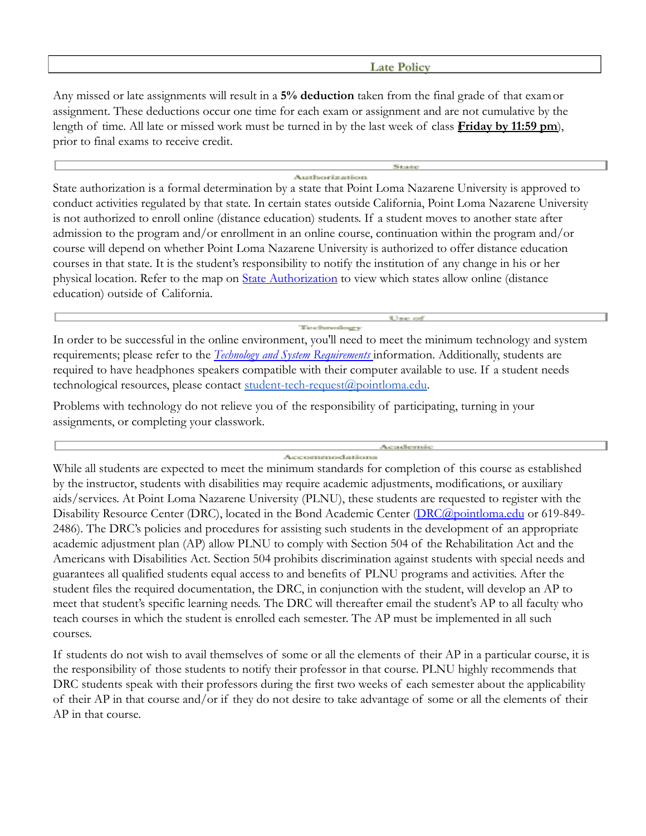#### **Late Policy**

Any missed or late assignments will result in a **5% deduction** taken from the final grade of that examor assignment. These deductions occur one time for each exam or assignment and are not cumulative by the length of time. All late or missed work must be turned in by the last week of class (**Friday by 11:59 pm**), prior to final exams to receive credit.

#### Austhorizaction

State authorization is a formal determination by a state that Point Loma Nazarene University is approved to conduct activities regulated by that state. In certain states outside California, Point Loma Nazarene University is not authorized to enroll online (distance education) students. If a student moves to another state after admission to the program and/or enrollment in an online course, continuation within the program and/or course will depend on whether Point Loma Nazarene University is authorized to offer distance education courses in that state. It is the student's responsibility to notify the institution of any change in his or her physical location. Refer to the map on [State Authorization](https://www.pointloma.edu/offices/office-institutional-effectiveness-research/disclosures) to view which states allow online (distance education) outside of California.

In order to be successful in the online environment, you'll need to meet the minimum technology and system requirements; please refer to the *[Technology and System](https://help.pointloma.edu/TDClient/1808/Portal/KB/ArticleDet?ID=108349) Requirements* information. Additionally, students are required to have headphones speakers compatible with their computer available to use. If a student needs technological resources, please contact [student-tech-request@pointloma.edu.](mailto:student-tech-request@pointloma.edu)

Problems with technology do not relieve you of the responsibility of participating, turning in your assignments, or completing your classwork.

#### Auctor chemoratic Accommodations

While all students are expected to meet the minimum standards for completion of this course as established by the instructor, students with disabilities may require academic adjustments, modifications, or auxiliary aids/services. At Point Loma Nazarene University (PLNU), these students are requested to register with the Disability Resource Center (DRC), located in the Bond Academic Center ([DRC@pointloma.edu](mailto:DRC@pointloma.edu) or 619-849-2486). The DRC's policies and procedures for assisting such students in the development of an appropriate academic adjustment plan (AP) allow PLNU to comply with Section 504 of the Rehabilitation Act and the Americans with Disabilities Act. Section 504 prohibits discrimination against students with special needs and guarantees all qualified students equal access to and benefits of PLNU programs and activities. After the student files the required documentation, the DRC, in conjunction with the student, will develop an AP to meet that student's specific learning needs. The DRC will thereafter email the student's AP to all faculty who teach courses in which the student is enrolled each semester. The AP must be implemented in all such courses.

If students do not wish to avail themselves of some or all the elements of their AP in a particular course, it is the responsibility of those students to notify their professor in that course. PLNU highly recommends that DRC students speak with their professors during the first two weeks of each semester about the applicability of their AP in that course and/or if they do not desire to take advantage of some or all the elements of their AP in that course.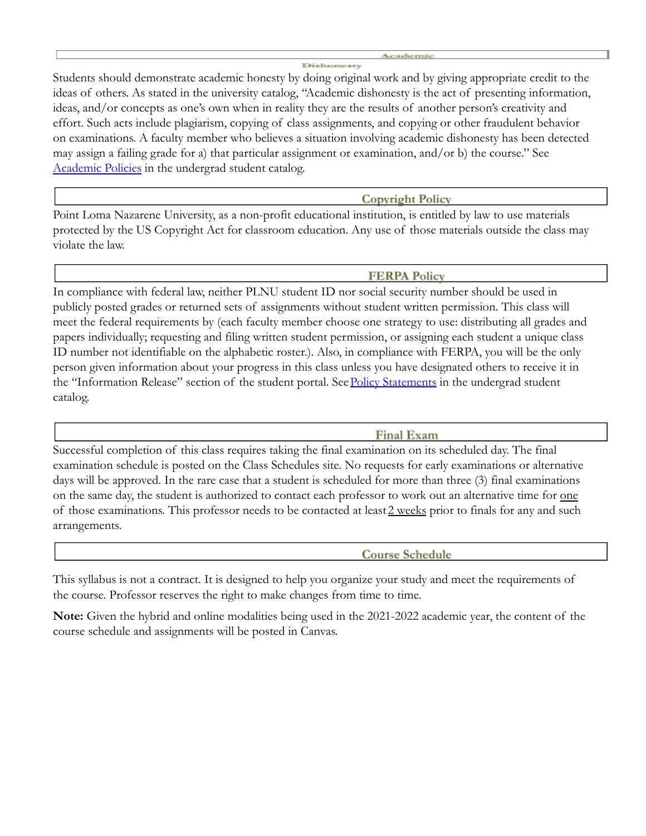Students should demonstrate academic honesty by doing original work and by giving appropriate credit to the ideas of others. As stated in the university catalog, "Academic dishonesty is the act of presenting information, ideas, and/or concepts as one's own when in reality they are the results of another person's creativity and effort. Such acts include plagiarism, copying of class assignments, and copying or other fraudulent behavior on examinations. A faculty member who believes a situation involving academic dishonesty has been detected may assign a failing grade for a) that particular assignment or examination, and/or b) the course." See [Academic Policies](http://www.pointloma.edu/experience/academics/catalogs/undergraduate-catalog/point-loma-education/academic-policies) in the undergrad student catalog.

**Copyright Policy** 

Point Loma Nazarene University, as a non-profit educational institution, is entitled by law to use materials protected by the US Copyright Act for classroom education. Any use of those materials outside the class may violate the law.

#### **FERPA Policy**

In compliance with federal law, neither PLNU student ID nor social security number should be used in publicly posted grades or returned sets of assignments without student written permission. This class will meet the federal requirements by (each faculty member choose one strategy to use: distributing all grades and papers individually; requesting and filing written student permission, or assigning each student a unique class ID number not identifiable on the alphabetic roster.). Also, in compliance with FERPA, you will be the only person given information about your progress in this class unless you have designated others to receive it in the "Information Release" section of the student portal. See [Policy Statements](http://www.pointloma.edu/experience/academics/catalogs/undergraduate-catalog/policy-statements) in the undergrad student catalog.

**Final Exam** 

Successful completion of this class requires taking the final examination on its scheduled day. The final examination schedule is posted on the Class Schedules site. No requests for early examinations or alternative days will be approved. In the rare case that a student is scheduled for more than three (3) final examinations on the same day, the student is authorized to contact each professor to work out an alternative time for one of those examinations. This professor needs to be contacted at least 2 weeks prior to finals for any and such arrangements.

**Course Schedule** 

This syllabus is not a contract. It is designed to help you organize your study and meet the requirements of the course. Professor reserves the right to make changes from time to time.

**Note:** Given the hybrid and online modalities being used in the 2021-2022 academic year, the content of the course schedule and assignments will be posted in Canvas.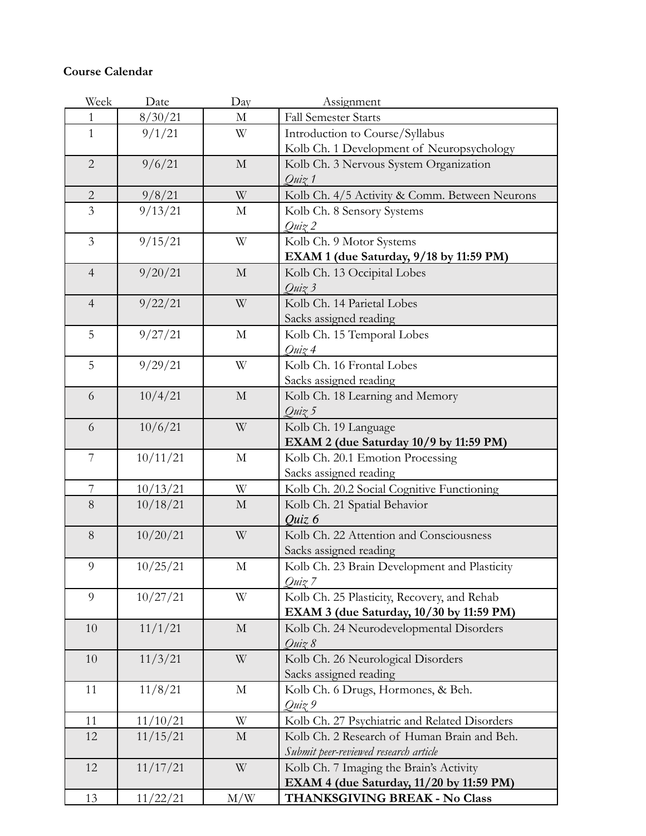# **Course Calendar**

| Week           | Date     | Day          | Assignment                                                                          |  |
|----------------|----------|--------------|-------------------------------------------------------------------------------------|--|
| 1              | 8/30/21  | $\mathbf M$  | <b>Fall Semester Starts</b>                                                         |  |
| $\mathbf{1}$   | 9/1/21   | W            | Introduction to Course/Syllabus                                                     |  |
|                |          |              | Kolb Ch. 1 Development of Neuropsychology                                           |  |
| $\sqrt{2}$     | 9/6/21   | $\mathbf M$  | Kolb Ch. 3 Nervous System Organization                                              |  |
|                |          |              | Quiz 1                                                                              |  |
| $\overline{2}$ | 9/8/21   | W            | Kolb Ch. 4/5 Activity & Comm. Between Neurons                                       |  |
| $\overline{3}$ | 9/13/21  | $\mathbf M$  | Kolb Ch. 8 Sensory Systems                                                          |  |
|                |          |              | Quiz 2                                                                              |  |
| $\overline{3}$ | 9/15/21  | W            | Kolb Ch. 9 Motor Systems                                                            |  |
|                |          |              | EXAM 1 (due Saturday, 9/18 by 11:59 PM)                                             |  |
| $\overline{4}$ | 9/20/21  | $\mathbf{M}$ | Kolb Ch. 13 Occipital Lobes                                                         |  |
|                |          |              | Quiz 3                                                                              |  |
| $\overline{4}$ | 9/22/21  | W            | Kolb Ch. 14 Parietal Lobes                                                          |  |
|                |          |              | Sacks assigned reading                                                              |  |
| 5              | 9/27/21  | $\mathbf M$  | Kolb Ch. 15 Temporal Lobes                                                          |  |
|                |          |              | Quiz 4                                                                              |  |
| 5              | 9/29/21  | W            | Kolb Ch. 16 Frontal Lobes                                                           |  |
|                |          |              | Sacks assigned reading                                                              |  |
| 6              | 10/4/21  | $\mathbf{M}$ | Kolb Ch. 18 Learning and Memory                                                     |  |
|                |          |              | Quiz 5                                                                              |  |
| 6              | 10/6/21  | W            | Kolb Ch. 19 Language                                                                |  |
|                |          |              | EXAM 2 (due Saturday 10/9 by 11:59 PM)                                              |  |
| $\overline{7}$ | 10/11/21 | $\mathbf M$  | Kolb Ch. 20.1 Emotion Processing                                                    |  |
|                |          |              | Sacks assigned reading                                                              |  |
| $\overline{7}$ | 10/13/21 | W            | Kolb Ch. 20.2 Social Cognitive Functioning                                          |  |
| 8              | 10/18/21 | М            | Kolb Ch. 21 Spatial Behavior                                                        |  |
|                |          |              | Quiz 6                                                                              |  |
| $8\,$          | 10/20/21 | W            | Kolb Ch. 22 Attention and Consciousness                                             |  |
|                |          |              | Sacks assigned reading                                                              |  |
| 9              | 10/25/21 | М            | Kolb Ch. 23 Brain Development and Plasticity                                        |  |
|                |          |              | Quiz 7                                                                              |  |
| 9              | 10/27/21 | W            | Kolb Ch. 25 Plasticity, Recovery, and Rehab                                         |  |
|                |          |              | EXAM 3 (due Saturday, 10/30 by 11:59 PM)                                            |  |
| 10             | 11/1/21  | $\mathbf M$  | Kolb Ch. 24 Neurodevelopmental Disorders                                            |  |
|                |          |              | Quiz 8                                                                              |  |
| 10             | 11/3/21  | W            | Kolb Ch. 26 Neurological Disorders                                                  |  |
|                |          |              | Sacks assigned reading                                                              |  |
| 11             | 11/8/21  | $\mathbf M$  | Kolb Ch. 6 Drugs, Hormones, & Beh.                                                  |  |
|                |          | W            | Quiz 9                                                                              |  |
| 11             | 11/10/21 |              | Kolb Ch. 27 Psychiatric and Related Disorders                                       |  |
| 12             | 11/15/21 | $\mathbf M$  | Kolb Ch. 2 Research of Human Brain and Beh.                                         |  |
|                | 11/17/21 | W            | Submit peer-reviewed research article                                               |  |
| 12             |          |              | Kolb Ch. 7 Imaging the Brain's Activity<br>EXAM 4 (due Saturday, 11/20 by 11:59 PM) |  |
| 13             | 11/22/21 | M/W          | THANKSGIVING BREAK - No Class                                                       |  |
|                |          |              |                                                                                     |  |